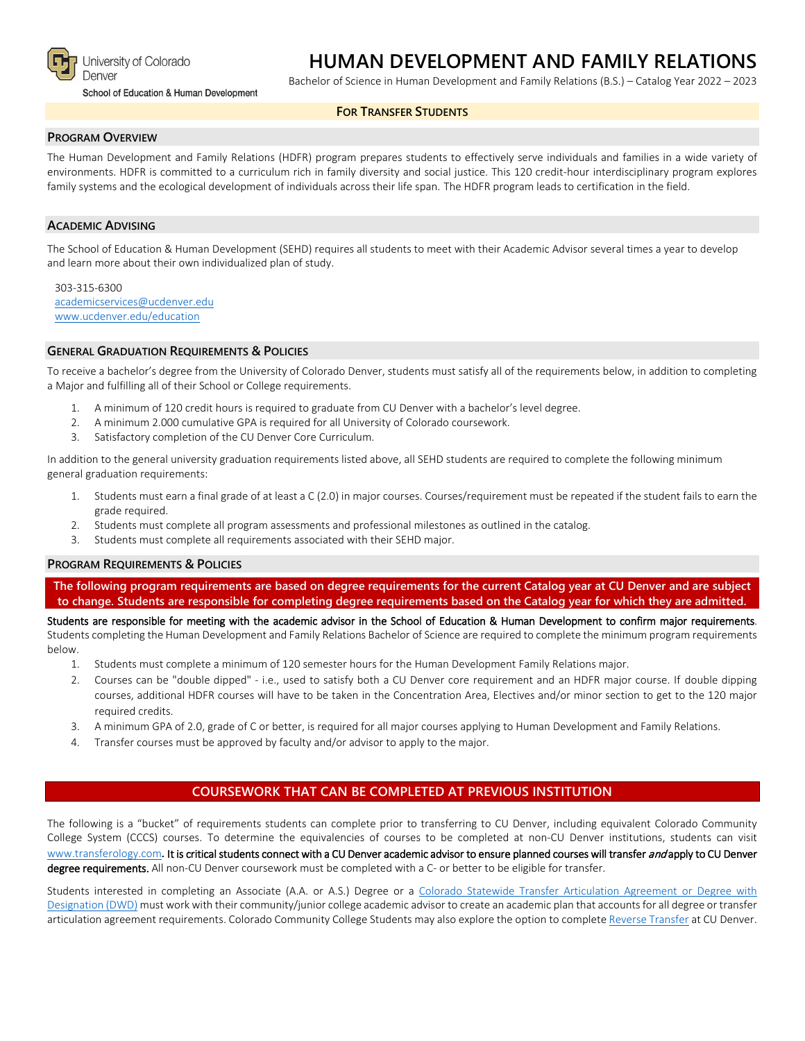

University of Colorado Denver

School of Education & Human Development

# **HUMAN DEVELOPMENT AND FAMILY RELATIONS**

Bachelor of Science in Human Development and Family Relations (B.S.) – Catalog Year 2022 – 2023

#### **FOR TRANSFER STUDENTS**

### **PROGRAM OVERVIEW**

The Human Development and Family Relations (HDFR) program prepares students to effectively serve individuals and families in a wide variety of environments. HDFR is committed to a curriculum rich in family diversity and social justice. This 120 credit-hour interdisciplinary program explores family systems and the ecological development of individuals across their life span. The HDFR program leads to certification in the field.

#### **ACADEMIC ADVISING**

The School of Education & Human Development (SEHD) requires all students to meet with their Academic Advisor several times a year to develop and learn more about their own individualized plan of study.

303-315-6300 [academicservices@ucdenver.edu](mailto:academicservices@ucdenver.edu) [www.ucdenver.edu/education](http://www.ucdenver.edu/education)

#### **GENERAL GRADUATION REQUIREMENTS & POLICIES**

To receive a bachelor's degree from the University of Colorado Denver, students must satisfy all of the requirements below, in addition to completing a Major and fulfilling all of their School or College requirements.

- 1. A minimum of 120 credit hours is required to graduate from CU Denver with a bachelor's level degree.
- 2. A minimum 2.000 cumulative GPA is required for all University of Colorado coursework.
- 3. Satisfactory completion of the CU Denver Core Curriculum.

In addition to the general university graduation requirements listed above, all SEHD students are required to complete the following minimum general graduation requirements:

- 1. Students must earn a final grade of at least a C (2.0) in major courses. Courses/requirement must be repeated if the student fails to earn the grade required.
- 2. Students must complete all program assessments and professional milestones as outlined in the catalog.
- 3. Students must complete all requirements associated with their SEHD major.

#### **PROGRAM REQUIREMENTS & POLICIES**

**The following program requirements are based on degree requirements for the current Catalog year at CU Denver and are subject to change. Students are responsible for completing degree requirements based on the Catalog year for which they are admitted.**

Students are responsible for meeting with the academic advisor in the School of Education & Human Development to confirm major requirements. Students completing the Human Development and Family Relations Bachelor of Science are required to complete the minimum program requirements below.

- 1. Students must complete a minimum of 120 semester hours for the Human Development Family Relations major.
- 2. Courses can be "double dipped" i.e., used to satisfy both a CU Denver core requirement and an HDFR major course. If double dipping courses, additional HDFR courses will have to be taken in the Concentration Area, Electives and/or minor section to get to the 120 major required credits.
- 3. A minimum GPA of 2.0, grade of C or better, is required for all major courses applying to Human Development and Family Relations.
- 4. Transfer courses must be approved by faculty and/or advisor to apply to the major.

## **COURSEWORK THAT CAN BE COMPLETED AT PREVIOUS INSTITUTION**

The following is a "bucket" of requirements students can complete prior to transferring to CU Denver, including equivalent Colorado Community College System (CCCS) courses. To determine the equivalencies of courses to be completed at non-CU Denver institutions, students can visit [www.transferology.com](http://www.transferology.com/)**.** It is critical students connect with a CU Denver academic advisor to ensure planned courses will transfer and apply to CU Denver degree requirements. All non-CU Denver coursework must be completed with a C- or better to be eligible for transfer.

Students interested in completing an Associate (A.A. or A.S.) Degree or a [Colorado Statewide Transfer Articulation Agreement or Degree with](https://highered.colorado.gov/Academics/Transfers/TransferDegrees.html)  [Designation \(DWD\)](https://highered.colorado.gov/Academics/Transfers/TransferDegrees.html) must work with their community/junior college academic advisor to create an academic plan that accounts for all degree or transfer articulation agreement requirements. Colorado Community College Students may also explore the option to complet[e Reverse Transfer](https://degreewithinreach.wordpress.com/) at CU Denver.